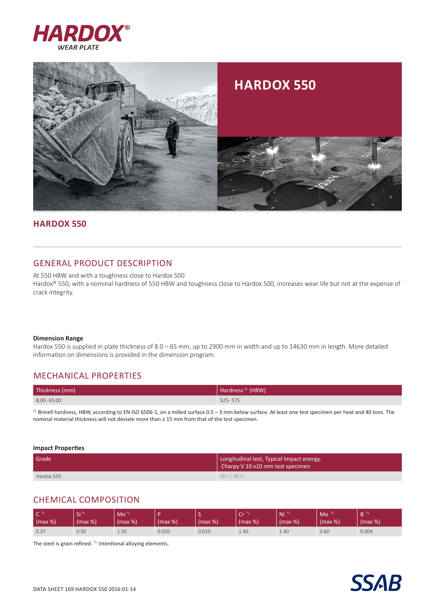



## **Hardox 550**

# GENERAL PRODUCT DESCRIPTION

At 550 HBW and with a toughness close to Hardox 500 Hardox® 550, with a nominal hardness of 550 HBW and toughness close to Hardox 500, increases wear life but not at the expense of crack integrity.

#### **Dimension Range**

Hardox 550 is supplied in plate thickness of 8.0 – 65 mm, up to 2900 mm in width and up to 14630 mm in length. More detailed information on dimensions is provided in the dimension program.

# MECHANICAL PROPERTIES

| Thickness (mm) | Hardness <sup>1)</sup> (HBW) |
|----------------|------------------------------|
| $8.00 - 65.00$ | $525 - 575$                  |

1) Brinell hardness, HBW, according to EN ISO 6506-1, on a milled surface 0.5 - 3 mm below surface. At least one test specimen per heat and 40 tons. The nominal material thickness will not deviate more than ± 15 mm from that of the test specimen.

**Impact Properties**

| Grade <sup>1</sup> | Longitudinal test, Typical Impact energy,<br>Charpy V 10 x10 mm test specimen |  |  |
|--------------------|-------------------------------------------------------------------------------|--|--|
| Hardox 550         | $30$ J /-40 C                                                                 |  |  |

# CHEMICAL COMPOSITION

| $\subset$<br>$\mid$ (max %) | / Si<br>(max %) | Mn <sup>*</sup><br>(max %) | (max %) | (max %) | $\sim$<br>ີ<br>(max %) | Ni 1<br>(max %) | Mo<br>(max %) | (max %) |
|-----------------------------|-----------------|----------------------------|---------|---------|------------------------|-----------------|---------------|---------|
| 0.37                        | 0.50            | 1.30                       | 0.020   | 0.010   | 1.40                   | 1.40            | 0.60          | 0.004   |

The steel is grain refined. \*) Intentional alloying elements.

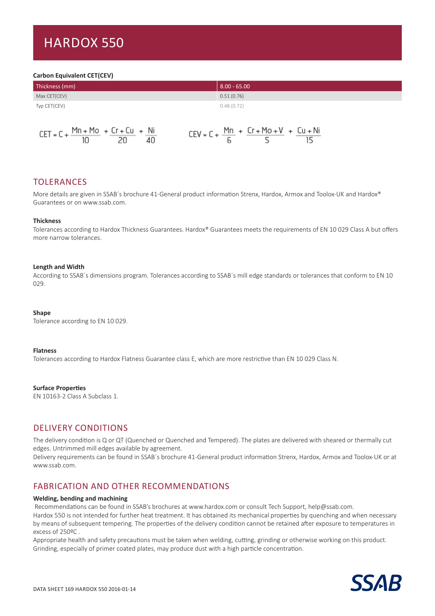# Hardox 550

#### **Carbon Equivalent CET(CEV)**

| Thickness (mm) | $8.00 - 65.00$ |
|----------------|----------------|
| Max CET(CEV)   | 0.51(0.76)     |
| Typ CET(CEV)   | 0.48(0.72)     |
|                |                |

| CET = C + $\frac{Mn + Mo}{10}$ + $\frac{Cr + Cu}{20}$ + $\frac{Ni}{40}$ |  | CEV = C + $\frac{Mn}{6}$ + $\frac{Cr + Mo + V}{5}$ + $\frac{Cu + Ni}{15}$ |  |
|-------------------------------------------------------------------------|--|---------------------------------------------------------------------------|--|
|                                                                         |  |                                                                           |  |

# TOLERANCES

More details are given in SSAB's brochure 41-General product information Strenx, Hardox, Armox and Toolox-UK and Hardox® Guarantees or on www.ssab.com.

#### **Thickness**

Tolerances according to Hardox Thickness Guarantees. Hardox® Guarantees meets the requirements of EN 10 029 Class A but offers more narrow tolerances.

#### **Length and Width**

According to SSAB´s dimensions program. Tolerances according to SSAB´s mill edge standards or tolerances that conform to EN 10 029.

#### **Shape**

Tolerance according to EN 10 029.

#### **Flatness**

Tolerances according to Hardox Flatness Guarantee class E, which are more restrictive than EN 10 029 Class N.

**Surface Properties** 

EN 10163-2 Class A Subclass 1.

# DELIVERY CONDITIONS

The delivery condition is Q or QT (Quenched or Quenched and Tempered). The plates are delivered with sheared or thermally cut edges. Untrimmed mill edges available by agreement.

Delivery requirements can be found in SSAB´s brochure 41-General product information Strenx, Hardox, Armox and Toolox-UK or at www.ssab.com.

### FABRICATION AND OTHER RECOMMENDATIONS

#### **Welding, bending and machining**

Recommendations can be found in SSAB's brochures at www.hardox.com or consult Tech Support, help@ssab.com.

Hardox 550 is not intended for further heat treatment. It has obtained its mechanical properties by quenching and when necessary by means of subsequent tempering. The properties of the delivery condition cannot be retained after exposure to temperatures in excess of 250ºC .

Appropriate health and safety precautions must be taken when welding, cutting, grinding or otherwise working on this product. Grinding, especially of primer coated plates, may produce dust with a high particle concentration.